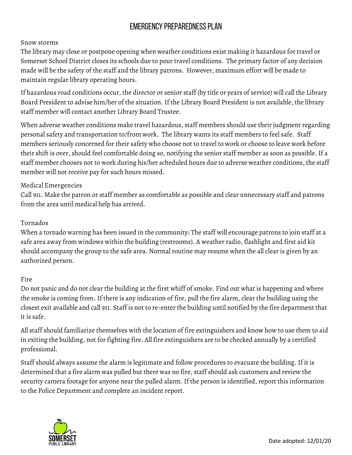# Emergency Preparedness Plan

### **Snow storms**

The library may close or postpone opening when weather conditions exist making it hazardous for travel or Somerset School District closes its schools due to pour travel conditions. The primary factor of any decision made will be the safety of the staff and the library patrons. However, maximum effort will be made to maintain regular library operating hours.

If hazardous road conditions occur, the director or senior staff (by title or years of service) will call the Library Board President to advise him/her of the situation. If the Library Board President is not available, the library staff member will contact another Library Board Trustee.

When adverse weather conditions make travel hazardous, staff members should use their judgment regarding personal safety and transportation to/from work. The library wants its staff members to feel safe. Staff members seriously concerned for their safety who choose not to travel to work or choose to leave work before their shift is over, should feel comfortable doing so, notifying the senior staff member as soon as possible. If a staff member chooses not to work during his/her scheduled hours due to adverse weather conditions, the staff member will not receive pay for such hours missed.

### **Medical Emergencies**

Call 911. Make the patron or staff member as comfortable as possible and clear unnecessary staff and patrons from the area until medical help has arrived.

#### **Tornados**

When a tornado warning has been issued in the community: The staff will encourage patrons to join staff at a safe area away from windows within the building (restrooms). A weather radio, flashlight and first aid kit should accompany the group to the safe area. Normal routine may resume when the all clear is given by an authorized person.

#### **Fire**

Do not panic and do not clear the building at the first whiff of smoke. Find out what is happening and where the smoke is coming from. If there is any indication of fire, pull the fire alarm, clear the building using the closest exit available and call 911. Staff is not to re-enter the building until notified by the fire department that it is safe.

All staff should familiarize themselves with the location of fire extinguishers and know how to use them to aid in exiting the building, not for fighting fire. All fire extinguishers are to be checked annually by a certified professional.

Staff should always assume the alarm is legitimate and follow procedures to evacuate the building. If it is determined that a fire alarm was pulled but there was no fire, staff should ask customers and review the security camera footage for anyone near the pulled alarm. If the person is identified, report this information to the Police Department and complete an incident report.